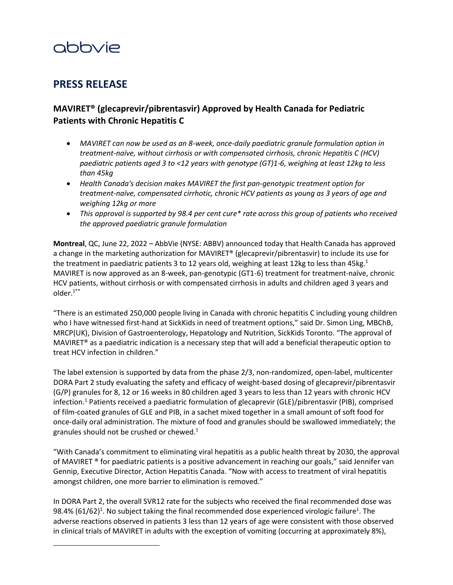# abbvie

## **PRESS RELEASE**

### **MAVIRET® (glecaprevir/pibrentasvir) Approved by Health Canada for Pediatric Patients with Chronic Hepatitis C**

- *MAVIRET can now be used as an 8-week, once-daily paediatric granule formulation option in treatment-naïve, without cirrhosis or with compensated cirrhosis, chronic Hepatitis C (HCV) paediatric patients aged 3 to <12 years with genotype (GT)1-6, weighing at least 12kg to less than 45kg*
- *Health Canada's decision makes MAVIRET the first pan-genotypic treatment option for treatment-naïve, compensated cirrhotic, chronic HCV patients as young as 3 years of age and weighing 12kg or more*
- *This approval is supported by 98.4 per cent cure\* rate across this group of patients who received the approved paediatric granule formulation*

**Montreal**, QC, June 22, 2022 – AbbVie (NYSE: ABBV) announced today that Health Canada has approved a change in the marketing authorization for MAVIRET® (glecaprevir/pibrentasvir) to include its use for the treatment in paediatric patients 3 to 12 years old, weighing at least 12kg to less than 45kg.<sup>1</sup> MAVIRET is now approved as an 8-week, pan-genotypic (GT1-6) treatment for treatment-naïve, chronic HCV patients, without cirrhosis or with compensated cirrhosis in adults and children aged 3 years and older. $1***$  $1***$ 

"There is an estimated 250,000 people living in Canada with chronic hepatitis C including young children who I have witnessed first-hand at SickKids in need of treatment options," said Dr. Simon Ling, MBChB, MRCP(UK), Division of Gastroenterology, Hepatology and Nutrition, SickKids Toronto. "The approval of MAVIRET® as a paediatric indication is a necessary step that will add a beneficial therapeutic option to treat HCV infection in children."

The label extension is supported by data from the phase 2/3, non-randomized, open-label, multicenter DORA Part 2 study evaluating the safety and efficacy of weight-based dosing of glecaprevir/pibrentasvir (G/P) granules for 8, 12 or 16 weeks in 80 children aged 3 years to less than 12 years with chronic HCV infection.<sup>1</sup> Patients received a paediatric formulation of glecaprevir (GLE)/pibrentasvir (PIB), comprised of film-coated granules of GLE and PIB, in a sachet mixed together in a small amount of soft food for once-daily oral administration. The mixture of food and granules should be swallowed immediately; the granules should not be crushed or chewed.<sup>1</sup>

"With Canada's commitment to eliminating viral hepatitis as a public health threat by 2030, the approval of MAVIRET ® for paediatric patients is a positive advancement in reaching our goals," said Jennifer van Gennip, Executive Director, Action Hepatitis Canada. "Now with access to treatment of viral hepatitis amongst children, one more barrier to elimination is removed."

<span id="page-0-0"></span>In DORA Part 2, the overall SVR12 rate for the subjects who received the final recommended dose was 98.4% (61/62)<sup>1</sup>. No subject taking the final recommended dose experienced virologic failure<sup>1</sup>. The adverse reactions observed in patients 3 less than 12 years of age were consistent with those observed in clinical trials of MAVIRET in adults with the exception of vomiting (occurring at approximately 8%),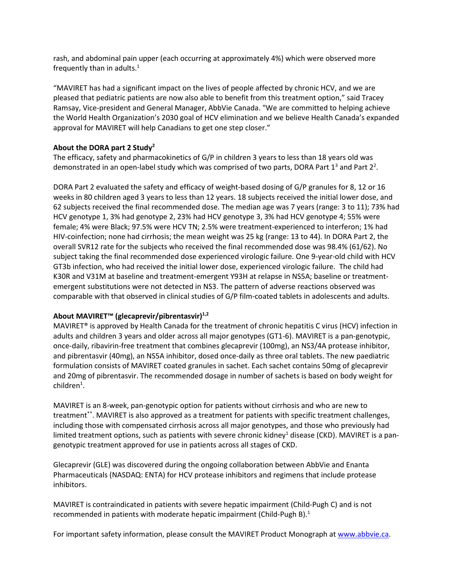rash, and abdominal pain upper (each occurring at approximately 4%) which were observed more frequently than in adults. $<sup>1</sup>$ </sup>

"MAVIRET has had a significant impact on the lives of people affected by chronic HCV, and we are pleased that pediatric patients are now also able to benefit from this treatment option," said Tracey Ramsay, Vice-president and General Manager, AbbVie Canada. "We are committed to helping achieve the World Health Organization's 2030 goal of HCV elimination and we believe Health Canada's expanded approval for MAVIRET will help Canadians to get one step closer."

#### **About the DORA part 2 Study<sup>2</sup>**

The efficacy, safety and pharmacokinetics of G/P in children 3 years to less than 18 years old was demonstrated in an open-label study which was comprised of two parts, DORA Part 1<sup>3</sup> and Part 2<sup>2</sup>.

DORA Part 2 evaluated the safety and efficacy of weight-based dosing of G/P granules for 8, 12 or 16 weeks in 80 children aged 3 years to less than 12 years. 18 subjects received the initial lower dose, and 62 subjects received the final recommended dose. The median age was 7 years (range: 3 to 11); 73% had HCV genotype 1, 3% had genotype 2, 23% had HCV genotype 3, 3% had HCV genotype 4; 55% were female; 4% were Black; 97.5% were HCV TN; 2.5% were treatment-experienced to interferon; 1% had HIV-coinfection; none had cirrhosis; the mean weight was 25 kg (range: 13 to 44). In DORA Part 2, the overall SVR12 rate for the subjects who received the final recommended dose was 98.4% (61/62). No subject taking the final recommended dose experienced virologic failure. One 9-year-old child with HCV GT3b infection, who had received the initial lower dose, experienced virologic failure. The child had K30R and V31M at baseline and treatment-emergent Y93H at relapse in NS5A; baseline or treatmentemergent substitutions were not detected in NS3. The pattern of adverse reactions observed was comparable with that observed in clinical studies of G/P film-coated tablets in adolescents and adults.

#### **About MAVIRET™ (glecaprevir/pibrentasvir)1,2**

MAVIRET® is approved by Health Canada for the treatment of chronic hepatitis C virus (HCV) infection in adults and children 3 years and older across all major genotypes (GT1-6). MAVIRET is a pan-genotypic, once-daily, ribavirin-free treatment that combines glecaprevir (100mg), an NS3/4A protease inhibitor, and pibrentasvir (40mg), an NS5A inhibitor, dosed once-daily as three oral tablets. The new paediatric formulation consists of MAVIRET coated granules in sachet. Each sachet contains 50mg of glecaprevir and 20mg of pibrentasvir. The recommended dosage in number of sachets is based on body weight for  $children<sup>1</sup>$ .

MAVIRET is an 8-week, pan-genotypic option for patients without cirrhosis and who are new to treatment\*\*. MAVIRET is also approved as a treatment for patients with specific treatment challenges, including those with compensated cirrhosis across all major genotypes, and those who previously had limited treatment options, such as patients with severe chronic kidney<sup>1</sup> disease (CKD). MAVIRET is a pangenotypic treatment approved for use in patients across all stages of CKD.

Glecaprevir (GLE) was discovered during the ongoing collaboration between AbbVie and Enanta Pharmaceuticals (NASDAQ: ENTA) for HCV protease inhibitors and regimens that include protease inhibitors.

MAVIRET is contraindicated in patients with severe hepatic impairment (Child-Pugh C) and is not recommended in patients with moderate hepatic impairment (Child-Pugh B). $<sup>1</sup>$ </sup>

For important safety information, please consult the MAVIRET Product Monograph a[t www.abbvie.ca.](https://c212.net/c/link/?t=0&l=en&o=3476469-1&h=990266957&u=https%3A%2F%2Fc212.net%2Fc%2Flink%2F%3Ft%3D0%26l%3Den%26o%3D3186969-1%26h%3D4279224200%26u%3Dhttp%253A%252F%252Fwww.abbvie.ca%252F%26a%3Dwww.abbvie.ca&a=www.abbvie.ca)